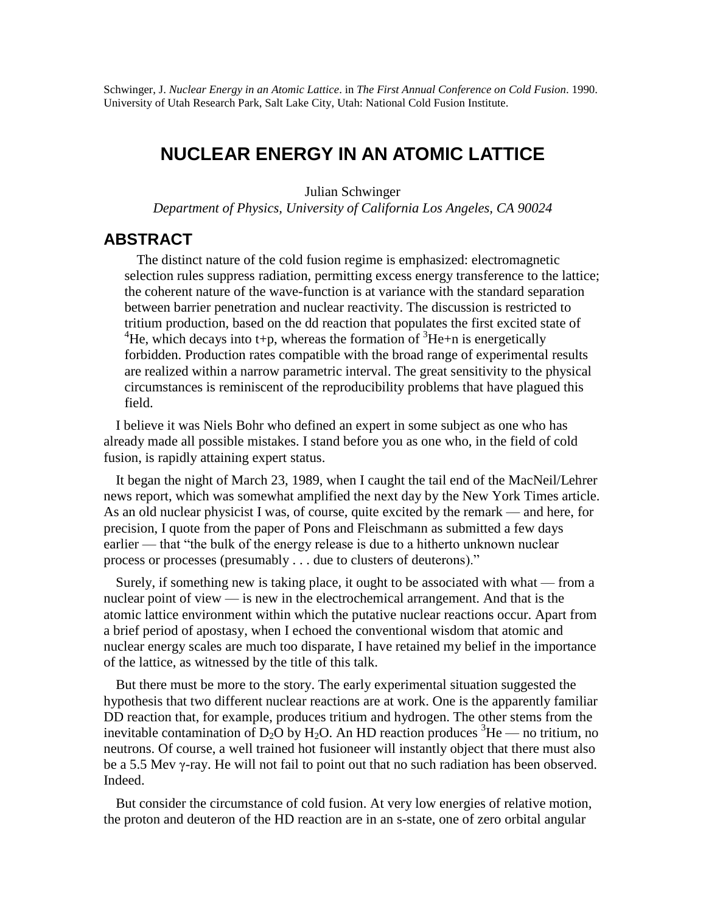Schwinger, J. *Nuclear Energy in an Atomic Lattice*. in *The First Annual Conference on Cold Fusion*. 1990. University of Utah Research Park, Salt Lake City, Utah: National Cold Fusion Institute.

## **NUCLEAR ENERGY IN AN ATOMIC LATTICE**

Julian Schwinger

*Department of Physics, University of California Los Angeles, CA 90024*

## **ABSTRACT**

The distinct nature of the cold fusion regime is emphasized: electromagnetic selection rules suppress radiation, permitting excess energy transference to the lattice; the coherent nature of the wave-function is at variance with the standard separation between barrier penetration and nuclear reactivity. The discussion is restricted to tritium production, based on the dd reaction that populates the first excited state of <sup>4</sup>He, which decays into t+p, whereas the formation of <sup>3</sup>He+n is energetically forbidden. Production rates compatible with the broad range of experimental results are realized within a narrow parametric interval. The great sensitivity to the physical circumstances is reminiscent of the reproducibility problems that have plagued this field.

I believe it was Niels Bohr who defined an expert in some subject as one who has already made all possible mistakes. I stand before you as one who, in the field of cold fusion, is rapidly attaining expert status.

It began the night of March 23, 1989, when I caught the tail end of the MacNeil/Lehrer news report, which was somewhat amplified the next day by the New York Times article. As an old nuclear physicist I was, of course, quite excited by the remark — and here, for precision, I quote from the paper of Pons and Fleischmann as submitted a few days earlier — that "the bulk of the energy release is due to a hitherto unknown nuclear process or processes (presumably . . . due to clusters of deuterons)."

Surely, if something new is taking place, it ought to be associated with what — from a nuclear point of view — is new in the electrochemical arrangement. And that is the atomic lattice environment within which the putative nuclear reactions occur. Apart from a brief period of apostasy, when I echoed the conventional wisdom that atomic and nuclear energy scales are much too disparate, I have retained my belief in the importance of the lattice, as witnessed by the title of this talk.

But there must be more to the story. The early experimental situation suggested the hypothesis that two different nuclear reactions are at work. One is the apparently familiar DD reaction that, for example, produces tritium and hydrogen. The other stems from the inevitable contamination of D<sub>2</sub>O by H<sub>2</sub>O. An HD reaction produces <sup>3</sup>He — no tritium, no neutrons. Of course, a well trained hot fusioneer will instantly object that there must also be a 5.5 Mev γ-ray. He will not fail to point out that no such radiation has been observed. Indeed.

But consider the circumstance of cold fusion. At very low energies of relative motion, the proton and deuteron of the HD reaction are in an s-state, one of zero orbital angular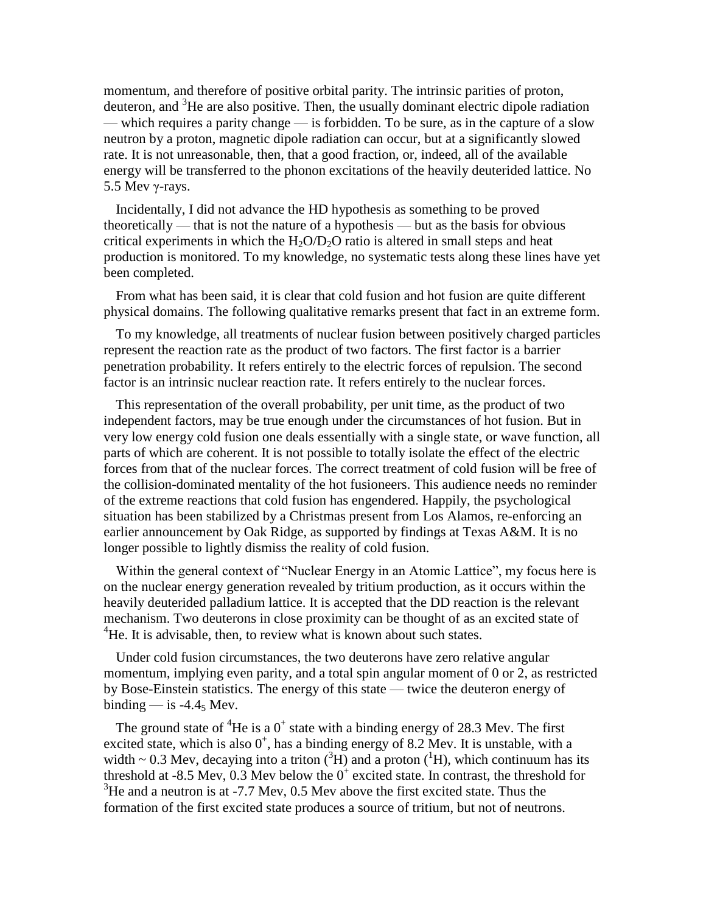momentum, and therefore of positive orbital parity. The intrinsic parities of proton, deuteron, and  ${}^{3}$ He are also positive. Then, the usually dominant electric dipole radiation — which requires a parity change — is forbidden. To be sure, as in the capture of a slow neutron by a proton, magnetic dipole radiation can occur, but at a significantly slowed rate. It is not unreasonable, then, that a good fraction, or, indeed, all of the available energy will be transferred to the phonon excitations of the heavily deuterided lattice. No 5.5 Mev γ-rays.

Incidentally, I did not advance the HD hypothesis as something to be proved theoretically — that is not the nature of a hypothesis — but as the basis for obvious critical experiments in which the  $H_2O/D_2O$  ratio is altered in small steps and heat production is monitored. To my knowledge, no systematic tests along these lines have yet been completed.

From what has been said, it is clear that cold fusion and hot fusion are quite different physical domains. The following qualitative remarks present that fact in an extreme form.

To my knowledge, all treatments of nuclear fusion between positively charged particles represent the reaction rate as the product of two factors. The first factor is a barrier penetration probability. It refers entirely to the electric forces of repulsion. The second factor is an intrinsic nuclear reaction rate. It refers entirely to the nuclear forces.

This representation of the overall probability, per unit time, as the product of two independent factors, may be true enough under the circumstances of hot fusion. But in very low energy cold fusion one deals essentially with a single state, or wave function, all parts of which are coherent. It is not possible to totally isolate the effect of the electric forces from that of the nuclear forces. The correct treatment of cold fusion will be free of the collision-dominated mentality of the hot fusioneers. This audience needs no reminder of the extreme reactions that cold fusion has engendered. Happily, the psychological situation has been stabilized by a Christmas present from Los Alamos, re-enforcing an earlier announcement by Oak Ridge, as supported by findings at Texas A&M. It is no longer possible to lightly dismiss the reality of cold fusion.

Within the general context of "Nuclear Energy in an Atomic Lattice", my focus here is on the nuclear energy generation revealed by tritium production, as it occurs within the heavily deuterided palladium lattice. It is accepted that the DD reaction is the relevant mechanism. Two deuterons in close proximity can be thought of as an excited state of  ${}^{4}$ He. It is advisable, then, to review what is known about such states.

Under cold fusion circumstances, the two deuterons have zero relative angular momentum, implying even parity, and a total spin angular moment of 0 or 2, as restricted by Bose-Einstein statistics. The energy of this state — twice the deuteron energy of binding  $-$  is -4.4 $_5$  Mev.

The ground state of <sup>4</sup>He is a  $0^+$  state with a binding energy of 28.3 Mev. The first excited state, which is also  $0^+$ , has a binding energy of 8.2 Mev. It is unstable, with a width ~ 0.3 Mev, decaying into a triton  $({}^{3}H)$  and a proton  $({}^{1}H)$ , which continuum has its threshold at -8.5 Mev,  $0.3$  Mev below the  $0^+$  excited state. In contrast, the threshold for  $3$ He and a neutron is at -7.7 Mev, 0.5 Mev above the first excited state. Thus the formation of the first excited state produces a source of tritium, but not of neutrons.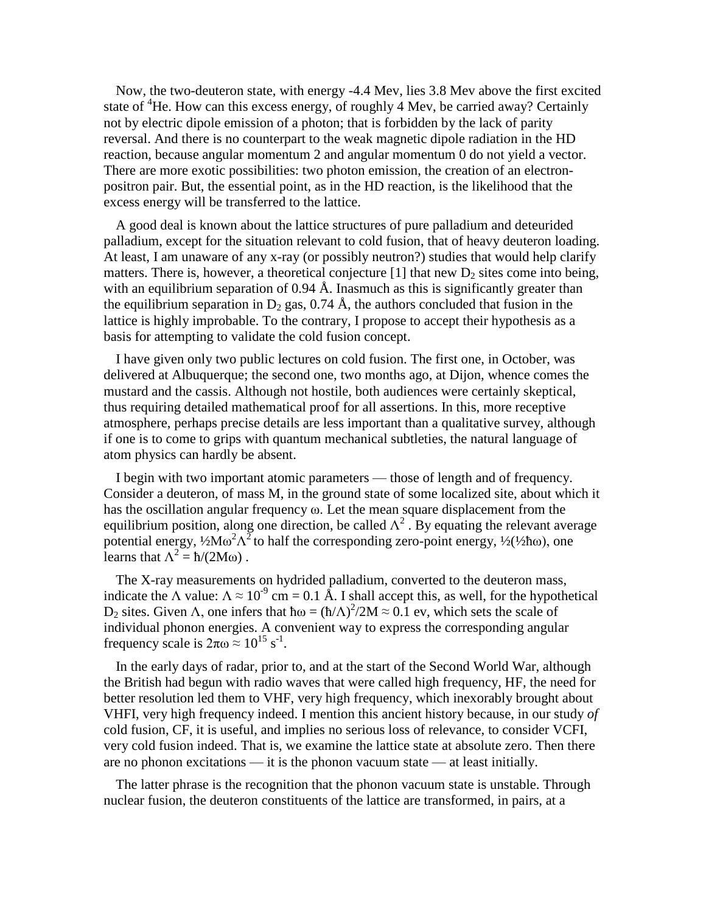Now, the two-deuteron state, with energy -4.4 Mev, lies 3.8 Mev above the first excited state of  ${}^{4}$ He. How can this excess energy, of roughly 4 Mev, be carried away? Certainly not by electric dipole emission of a photon; that is forbidden by the lack of parity reversal. And there is no counterpart to the weak magnetic dipole radiation in the HD reaction, because angular momentum 2 and angular momentum 0 do not yield a vector. There are more exotic possibilities: two photon emission, the creation of an electronpositron pair. But, the essential point, as in the HD reaction, is the likelihood that the excess energy will be transferred to the lattice.

A good deal is known about the lattice structures of pure palladium and deteurided palladium, except for the situation relevant to cold fusion, that of heavy deuteron loading. At least, I am unaware of any x-ray (or possibly neutron?) studies that would help clarify matters. There is, however, a theoretical conjecture  $[1]$  that new  $D_2$  sites come into being, with an equilibrium separation of  $0.94 \text{ Å}$ . Inasmuch as this is significantly greater than the equilibrium separation in  $D_2$  gas, 0.74 Å, the authors concluded that fusion in the lattice is highly improbable. To the contrary, I propose to accept their hypothesis as a basis for attempting to validate the cold fusion concept.

I have given only two public lectures on cold fusion. The first one, in October, was delivered at Albuquerque; the second one, two months ago, at Dijon, whence comes the mustard and the cassis. Although not hostile, both audiences were certainly skeptical, thus requiring detailed mathematical proof for all assertions. In this, more receptive atmosphere, perhaps precise details are less important than a qualitative survey, although if one is to come to grips with quantum mechanical subtleties, the natural language of atom physics can hardly be absent.

I begin with two important atomic parameters — those of length and of frequency. Consider a deuteron, of mass M, in the ground state of some localized site, about which it has the oscillation angular frequency ω.Let the mean square displacement from the equilibrium position, along one direction, be called  $\Lambda^2$ . By equating the relevant average potential energy,  $\frac{1}{2}M\omega^2\Lambda^2$  to half the corresponding zero-point energy,  $\frac{1}{2}(\frac{1}{2}\hbar\omega)$ , one learns that  $\Lambda^2 = \hbar/(2M\omega)$ .

The X-ray measurements on hydrided palladium, converted to the deuteron mass, indicate the  $\Lambda$  value:  $\Lambda \approx 10^{-9}$  cm = 0.1 Å. I shall accept this, as well, for the hypothetical  $D_2$  sites. Given  $\Lambda$ , one infers that  $\hbar \omega = (\hbar / \Lambda)^2 / 2M \approx 0.1$  ev, which sets the scale of individual phonon energies. A convenient way to express the corresponding angular frequency scale is  $2\pi\omega \approx 10^{15}$  s<sup>-1</sup>.

In the early days of radar, prior to, and at the start of the Second World War, although the British had begun with radio waves that were called high frequency, HF, the need for better resolution led them to VHF, very high frequency, which inexorably brought about VHFI, very high frequency indeed. I mention this ancient history because, in our study *of* cold fusion, CF, it is useful, and implies no serious loss of relevance, to consider VCFI, very cold fusion indeed. That is, we examine the lattice state at absolute zero. Then there are no phonon excitations — it is the phonon vacuum state — at least initially.

The latter phrase is the recognition that the phonon vacuum state is unstable. Through nuclear fusion, the deuteron constituents of the lattice are transformed, in pairs, at a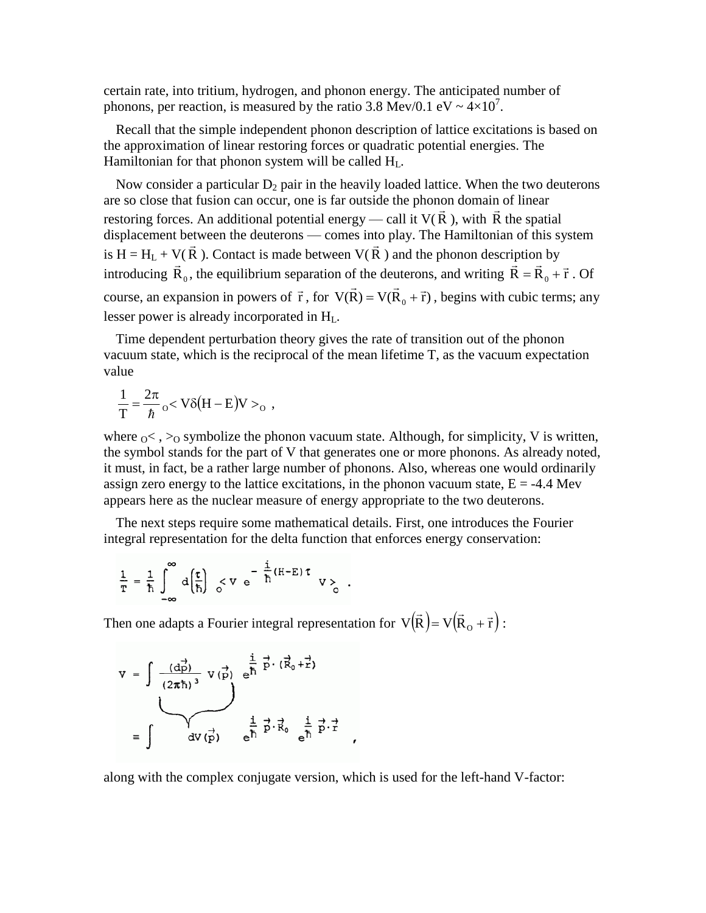certain rate, into tritium, hydrogen, and phonon energy. The anticipated number of phonons, per reaction, is measured by the ratio 3.8 Mev/0.1 eV  $\sim 4 \times 10^{7}$ .

Recall that the simple independent phonon description of lattice excitations is based on the approximation of linear restoring forces or quadratic potential energies. The Hamiltonian for that phonon system will be called H<sub>L</sub>.

Now consider a particular  $D_2$  pair in the heavily loaded lattice. When the two deuterons are so close that fusion can occur, one is far outside the phonon domain of linear restoring forces. An additional potential energy — call it  $V(R)$ .  $\frac{1}{2}$ ), with R  $\frac{1}{x}$  ∪ the spatial displacement between the deuterons — comes into play. The Hamiltonian of this system is H = H<sub>L</sub> + V(R). Contact is made between V(R) and the phonon description by introducing  $\vec{R}_0$ , the equilibrium separation of the deuterons, and writing  $\vec{R} = \vec{R}_0 + \vec{r}$ . Of course, an expansion in powers of  $\vec{r}$ , for  $V(\vec{R}) = V(\vec{R}_0 + \vec{r})$ , begins with cubic terms; any lesser power is already incorporated in  $H_L$ .

Time dependent perturbation theory gives the rate of transition out of the phonon vacuum state, which is the reciprocal of the mean lifetime T, as the vacuum expectation value

$$
\frac{1}{T} = \frac{2\pi}{\hbar} \, \mathrm{o} < V \delta \big( H - E \big) V >_{\mathrm{o}} ,
$$

where  $\alpha$  < ,  $>_{\Omega}$  symbolize the phonon vacuum state. Although, for simplicity, V is written, the symbol stands for the part of V that generates one or more phonons. As already noted, it must, in fact, be a rather large number of phonons. Also, whereas one would ordinarily assign zero energy to the lattice excitations, in the phonon vacuum state,  $E = -4.4$  Mev appears here as the nuclear measure of energy appropriate to the two deuterons.

The next steps require some mathematical details. First, one introduces the Fourier integral representation for the delta function that enforces energy conservation:

$$
\frac{1}{T} = \frac{1}{\hbar} \int_{-\infty}^{\infty} d\left(\frac{\tau}{\hbar}\right) \leq V e^{-\frac{i}{\hbar}(H-E) \tau} V \geq
$$

Then one adapts a Fourier integral representation for  $V(\vec{R}) = V(\vec{R}_O + \vec{r})$  :  $=V(R_{\Omega} + \vec{r})$ :

$$
V = \int \frac{(d\vec{p})}{(2\pi\hbar)^3} V(\vec{p}) e^{\frac{i}{\hbar} \vec{p} \cdot (\vec{R}_0 + \vec{r})}
$$
  

$$
= \int dV(\vec{p}) e^{\frac{i}{\hbar} \vec{p} \cdot \vec{R}_0} e^{\frac{i}{\hbar} \vec{p} \cdot \vec{r}}
$$

along with the complex conjugate version, which is used for the left-hand V-factor:

 $\pmb{\cdot}$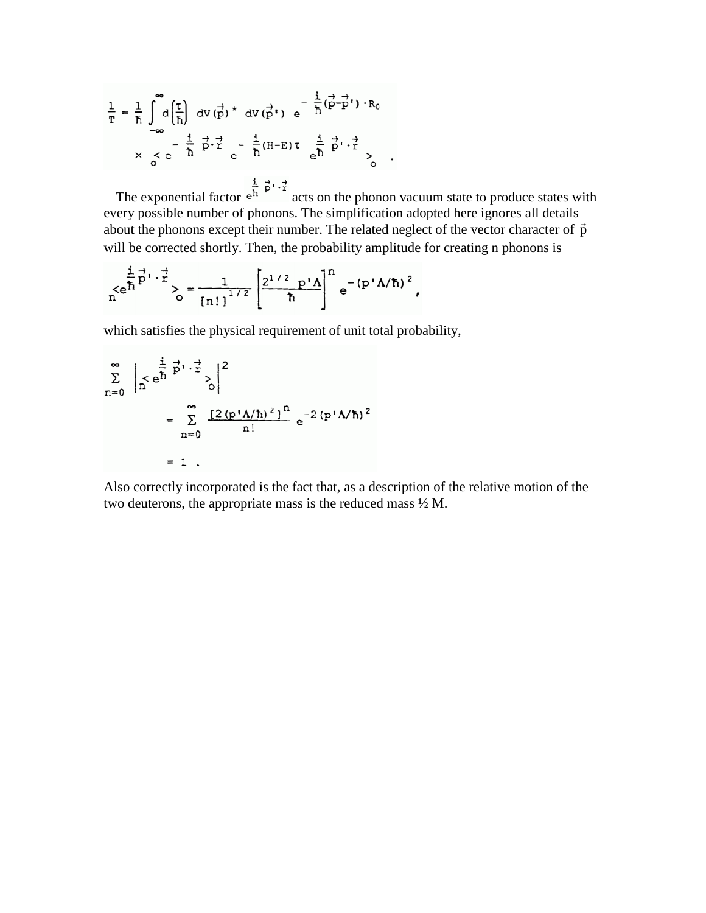$$
\frac{1}{T} = \frac{1}{\hbar} \int_{-\infty}^{\infty} d\left(\frac{\tau}{\hbar}\right) dV(\vec{p}) \star dV(\vec{p'}) e^{-\frac{i}{\hbar}(\vec{p} - \vec{p'}) \cdot R_0}
$$
  

$$
\times \int_{0}^{x} e^{-\frac{i}{\hbar} \vec{p} \cdot \vec{r}} e^{-\frac{i}{\hbar} (H - E) \tau} e^{\frac{i}{\hbar} \vec{p} \cdot \vec{r}} \sim
$$

The exponential factor  $e^{\frac{i}{h} \frac{1}{p} \cdot \frac{1}{r}}$  acts on the phonon vacuum state to produce states with every possible number of phonons. The simplification adopted here ignores all details Every possible number of phonons. The simplification adopted here ignores an details about the phonons except their number. The related neglect of the vector character of  $\vec{p}$ will be corrected shortly. Then, the probability amplitude for creating n phonons is

$$
\int_{0}^{1} e^{\frac{1}{\hbar} p^{1} \cdot \frac{1}{\hbar}} > \frac{1}{\left[n! \right]^{1/2}} \left[ \frac{2^{1/2} p^{1} \Lambda}{\hbar} \right]^{n} e^{-(p^{1} \Lambda/\hbar)^{2}},
$$

which satisfies the physical requirement of unit total probability,

$$
\sum_{n=0}^{\infty} \left| \int_{n}^{1} e^{\frac{i}{\hbar} \vec{p} \cdot \vec{r}} 2 \right|^{2}
$$
  
= 
$$
\sum_{n=0}^{\infty} \frac{[2 (p' \Lambda/\hbar)^{2}]^{n}}{n!} e^{-2 (p' \Lambda/\hbar)^{2}}
$$
  
= 1.

Also correctly incorporated is the fact that, as a description of the relative motion of the two deuterons, the appropriate mass is the reduced mass ½ M.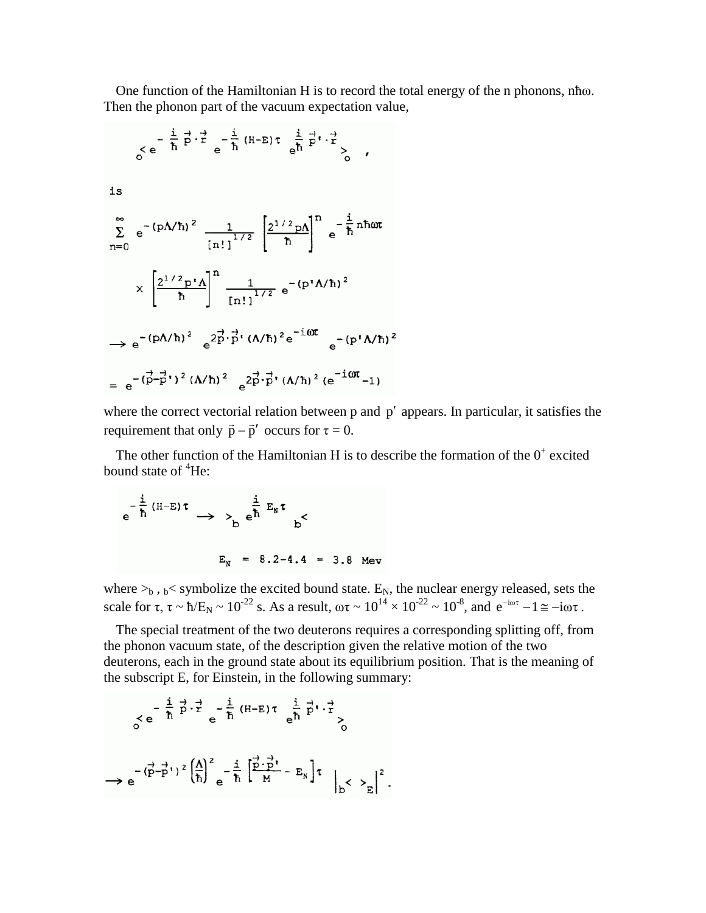One function of the Hamiltonian Ηis to record the total energy of the n phonons, nħω. Then the phonon part of the vacuum expectation value,

$$
\frac{1}{6}e^{-\frac{i}{\hbar}\vec{p}\cdot\vec{r}}e^{-\frac{i}{\hbar}(H-E)\tau}\frac{\frac{i}{e^{\hbar}\vec{p}\cdot\vec{r}}}{e^{\hbar}\vec{p}\cdot\vec{r}}\rangle,
$$
  
\nis  
\n
$$
\sum_{n=0}^{\infty}e^{-(pA/\hbar)^{2}}\frac{1}{\left[n!\right]^{1/2}}\left[\frac{2^{1/2}pA}{\hbar}\right]^{n}e^{-\frac{i}{\hbar}n\hbar\omega t}
$$

$$
\times\left[\frac{2^{1/2}p!\Lambda}{\hbar}\right]^{n}\frac{1}{\left[n!\right]^{1/2}}e^{-(p^{1}A/\hbar)^{2}}
$$

$$
\rightarrow e^{-(pA/\hbar)^{2}}e^{2\vec{p}\cdot\vec{p}\cdot(\Lambda/\hbar)^{2}e^{-i\omega t}}e^{-(p^{1}A/\hbar)^{2}}
$$

$$
= e^{-(p-p^{1})^{2}(A/\hbar)^{2}}e^{2\vec{p}\cdot\vec{p}\cdot(\Lambda/\hbar)^{2}(e^{-i\omega t}-1)}
$$

where the correct vectorial relation between  $p$  and  $p'$  appears. In particular, it satisfies the requirement that only  $\vec{p} - \vec{p}'$  occurs for  $\tau = 0$ .

The other function of the Hamiltonian H is to describe the formation of the  $0^+$  excited bound state of  ${}^{4}$ He:

$$
e^{-\frac{1}{\hbar}(H-E)\tau} \rightarrow \sum_{b} e^{\frac{1}{\hbar}E_{N}\tau}
$$
  
 $E_{N} = 8.2-4.4 = 3.8$  Mev

where  $>_b$ ,  $_b$ < symbolize the excited bound state. E<sub>N</sub>, the nuclear energy released, sets the scale for  $\tau$ ,  $\tau \sim \hbar/E_N \sim 10^{-22}$  s. As a result,  $\omega \tau \sim 10^{14} \times 10^{-22} \sim 10^{-8}$ , and  $e^{-i\omega \tau} - 1 \approx -i\omega \tau$ .

The special treatment of the two deuterons requires a corresponding splitting off, from the phonon vacuum state, of the description given the relative motion of the two deuterons, each in the ground state about its equilibrium position. That is the meaning of the subscript E, for Einstein, in the following summary:

$$
\begin{aligned}\n &\left\{\nabla e^{-\frac{i}{\hbar} \vec{p} \cdot \vec{r}} e^{-\frac{i}{\hbar} \left(H-E\right) \tau} e^{\frac{i}{\hbar} \vec{p} \cdot \vec{r}}\n\right\} \\
&\rightarrow e^{-\left(\vec{p} - \vec{p}^\dagger\right)^2 \left(\frac{\Lambda}{\hbar}\right)^2} e^{-\frac{i}{\hbar} \left[\frac{\vec{p} \cdot \vec{p}^\dagger}{M} - E_N\right] \tau} \left|_{D} < \sum_{E} \right|^2.\n\end{aligned}
$$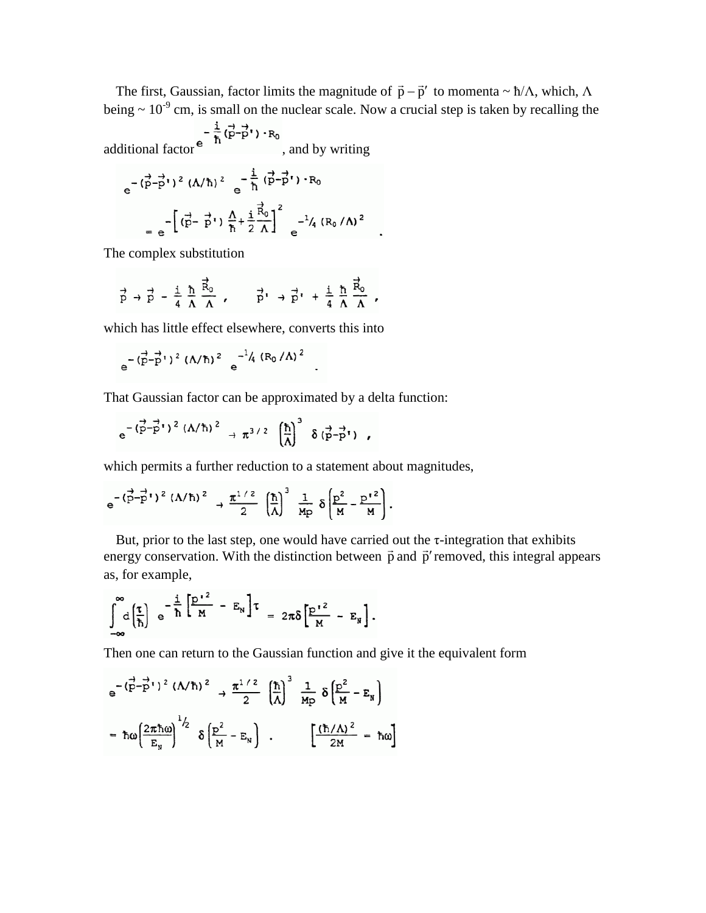The first, Gaussian, factor limits the magnitude of  $\vec{p} - \vec{p}'$  to momenta ~  $\hbar/\Lambda$ , which,  $\Lambda$ being  $\sim 10^{-9}$  cm, is small on the nuclear scale. Now a crucial step is taken by recalling the

additional factor  $e^{-\frac{1}{\hbar}(\vec{p}-\vec{p}^t)\cdot R_0}$ , and by writing

$$
e^{-(\vec{p}-\vec{p}^{\prime})^{2}} (A/\hbar)^{2} e^{-\frac{i}{\hbar}(\vec{p}-\vec{p}^{\prime})-R_{0}}
$$
  
=  $e^{-[(\vec{p}-\vec{p}^{\prime})\frac{\Lambda}{\hbar}+\frac{i}{2}\frac{\vec{R}_{0}}{\Lambda}]^{2}} e^{-\frac{1}{4}(R_{0}/\Lambda)^{2}}$ 

The complex substitution

$$
\vec{p} \rightarrow \vec{p} - \frac{i}{4} \frac{\hbar}{\Lambda} \frac{\vec{R}_0}{\Lambda} , \qquad \vec{p'} \rightarrow \vec{p'} + \frac{i}{4} \frac{\hbar}{\Lambda} \frac{\vec{R}_0}{\Lambda} ,
$$

which has little effect elsewhere, converts this into

$$
e^{-(\vec{p}-\vec{p}^{\prime})^2} (\Lambda/\hbar)^2 e^{-1/4 (R_0/\Lambda)^2}
$$

That Gaussian factor can be approximated by a delta function:

$$
e^{-(\overrightarrow{p}-\overrightarrow{p}^{\prime})^{2}(\Lambda/\hbar)^{2}} \rightarrow \pi^{3/2} \left(\frac{\hbar}{\Lambda}\right)^{3} \delta(\overrightarrow{p}-\overrightarrow{p}^{\prime}) ,
$$

which permits a further reduction to a statement about magnitudes,

$$
e^{-(\overrightarrow{p}-\overrightarrow{p}^{\prime})^{2}(\Lambda/\hbar)^{2}} \rightarrow \frac{\pi^{1/2}}{2} \left(\frac{\hbar}{\Lambda}\right)^{3} \frac{1}{Mp} \delta \left(\frac{p^{2}}{M}-\frac{p^{\prime 2}}{M}\right).
$$

But, prior to the last step, one would have carried out the  $\tau$ -integration that exhibits But, prior to the last step, one would have carried out the *t*-integration that exhibits energy conservation. With the distinction between  $\vec{p}$  and  $\vec{p}'$  removed, this integral appears as, for example,

$$
\int_{-\infty}^{\infty} d\left(\frac{\tau}{\hbar}\right) e^{-\frac{i}{\hbar}\left[\frac{p^2}{M} - E_N\right] \tau} = 2\pi \delta \left[\frac{p^2}{M} - E_N\right].
$$

Then one can return to the Gaussian function and give it the equivalent form

$$
e^{-(\vec{p}-\vec{p}^t)^2 (\Lambda/\hbar)^2} \rightarrow \frac{\pi^{1/2}}{2} (\frac{\hbar}{\Lambda})^3 \frac{1}{Mp} \delta \left(\frac{p^2}{M} - E_N\right)
$$

$$
= \hbar \omega \left(\frac{2\pi\hbar \omega}{E_N}\right)^{1/2} \delta \left(\frac{p^2}{M} - E_N\right) . \qquad \left[\frac{(\hbar/\Lambda)^2}{2M} = \hbar \omega\right]
$$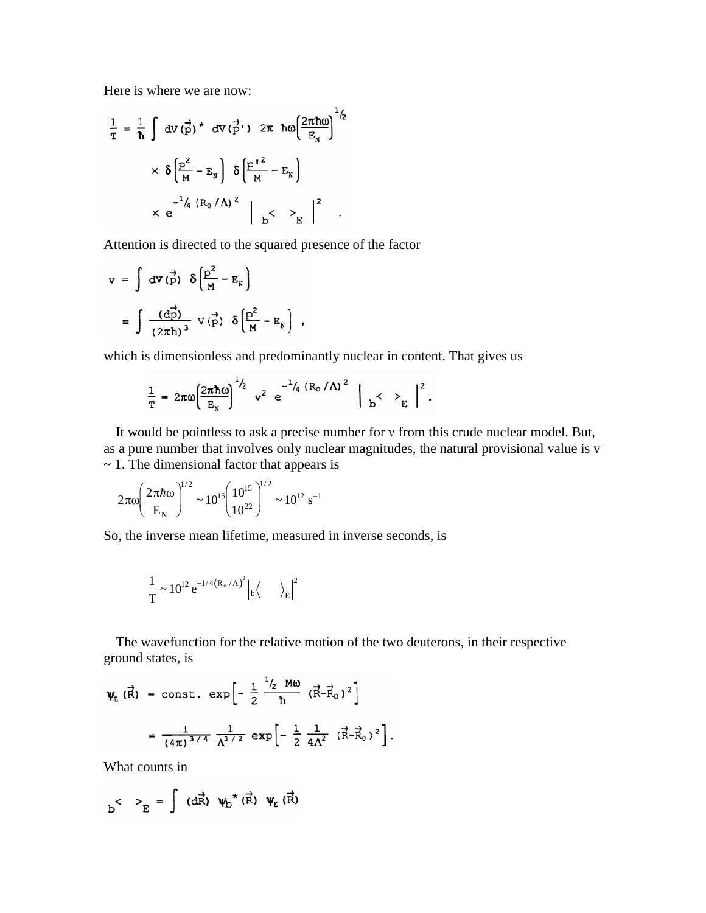Here is where we are now:

$$
\frac{1}{T} = \frac{1}{\hbar} \int dv \, (\vec{p})^* dv (\vec{p}') 2\pi \hbar \omega \left(\frac{2\pi \hbar \omega}{E_N}\right)^{1/2}
$$

$$
\times \delta \left(\frac{p^2}{M} - E_N\right) \delta \left(\frac{p'^2}{M} - E_N\right)
$$

$$
\times e^{-\frac{1}{4} \left(R_0/\Lambda\right)^2} \left| \sum_{b} \langle \sum_{E} \rangle \right|^2 .
$$

Attention is directed to the squared presence of the factor

$$
\mathbf{v} = \int dV(\vec{p}) \delta\left(\frac{p^2}{M} - E_N\right)
$$

$$
\equiv \int \frac{(d\vec{p})}{(2\pi\hbar)^3} V(\vec{p}) \delta\left(\frac{p^2}{M} - E_N\right) ,
$$

which is dimensionless and predominantly nuclear in content. That gives us

$$
\frac{1}{T} = 2\pi\omega \left(\frac{2\pi\hbar\omega}{E_N}\right)^{1/2} v^2 e^{-1/4 (R_0/\Lambda)^2} \Big|_{b} < \Big|_{E} \Big|^{2}.
$$

It would be pointless to ask a precise number for v from this crude nuclear model. But, as a pure number that involves only nuclear magnitudes, the natural provisional value is v  $\sim$  1. The dimensional factor that appears is

$$
2\pi\omega \left(\frac{2\pi\hbar\omega}{E_N}\right)^{1/2} \sim 10^{15} \left(\frac{10^{15}}{10^{22}}\right)^{1/2} \sim 10^{12} \text{ s}^{-1}
$$

So, the inverse mean lifetime, measured in inverse seconds, is

$$
\frac{1}{T} \sim 10^{12} e^{-1/4 (R_o/\Lambda)^2} \Big|_b \Big\langle \qquad \Big\rangle_E \Big|^2
$$

The wavefunction for the relative motion of the two deuterons, in their respective ground states, is

$$
\Psi_{E} (\vec{R}) = \text{const.} \exp \left[ -\frac{1}{2} \frac{^{1}/_{2} M\omega}{\hbar} (\vec{R} - \vec{R}_{0})^{2} \right]
$$

$$
= \frac{1}{(4\pi)^{3/4}} \frac{1}{\Lambda^{3/2}} \exp \left[ -\frac{1}{2} \frac{1}{4\Lambda^{2}} (\vec{R} - \vec{R}_{0})^{2} \right].
$$

What counts in

$$
b^{\langle} \quad \rangle_{E} = \int (d\vec{R}) \ \psi_{D}^{\star}(\vec{R}) \ \psi_{E}(\vec{R})
$$